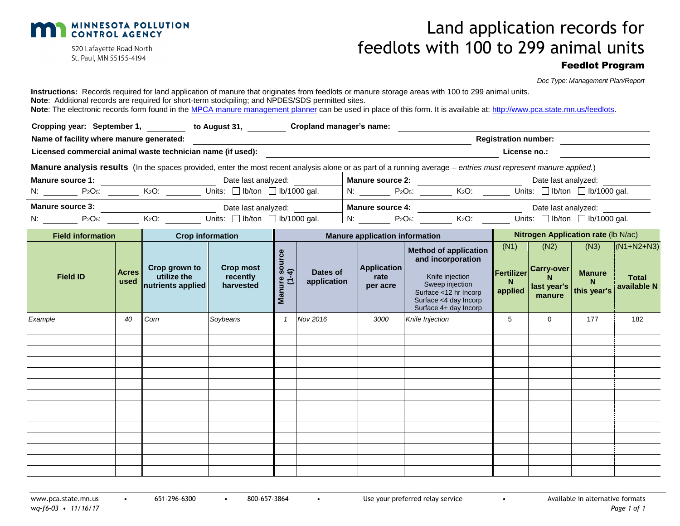

520 Lafayette Road North St. Paul, MN 55155-4194

# Land application records for feedlots with 100 to 299 animal units

# Feedlot Program

*Doc Type: Management Plan/Report*

| Cropping year: September 1, 1990 to August 31, 1990 Cropland manager's name:<br><b>Registration number:</b><br>Name of facility where manure generated:<br>Licensed commercial animal waste technician name (if used):<br>License no.:<br>Manure analysis results (In the spaces provided, enter the most recent analysis alone or as part of a running average – entries must represent manure applied.)<br>Manure source 2: $\begin{array}{c c} \text{Date last analyzed:} \\ \hline \text{N:} & \begin{array}{c} \end{array} & \begin{array}{c} \text{Date last analyzed:} \\ \end{array} \\ \hline \end{array} \begin{array}{c} \text{N:} & \begin{array}{c} \end{array} & \begin{array}{c} \text{Date last analyzed:} \\ \end{array} \\ \hline \end{array}$<br><b>Manure source 1:</b><br>Date last analyzed:<br><b>Manure source 1:</b><br>N: $\frac{P_2O_5:}{P_1O_5:}$ $\frac{K_2O:}{P_2O_5:}$ Units: $\Box$ Ib/ton $\Box$ Ib/1000 gal.<br><b>Manure source 3:</b><br>N: $\frac{P_2Q_5}{P_1Q_2P_3P_4P_5P_6P_7}\longrightarrow \frac{V_2Q_2}{V_1Q_2P_5P_6P_7}\longrightarrow \frac{V_1Q_2Q_3}{V_2Q_3P_6P_7}\longrightarrow \frac{V_1Q_2Q_3Q_4Q_5}{V_1Q_2Q_3P_6P_7}\longrightarrow \frac{V_1Q_2Q_3Q_4Q_5}{V_1Q_2Q_3P_7}\longrightarrow \frac{V_1Q_2Q_5Q_5Q_6Q_7}{V_1Q_2Q_3P_7}\longrightarrow \frac{V_1$<br>Date last analyzed:<br>N: $P_2O_5$ : $K_2O$ : Units: $\Box$ Ib/ton $\Box$ Ib/1000 gal.<br><b>Nitrogen Application rate (Ib N/ac)</b><br><b>Field information</b><br><b>Manure application information</b><br><b>Crop information</b><br>(N2)<br>(N3)<br>$(N1+N2+N3)$<br>(N1)<br><b>Method of application</b><br>source<br>and incorporation<br><b>Crop most</b><br><b>Application</b><br>Crop grown to<br><b>Fertilizer</b> Carry-over<br>$\overline{4}$<br><b>Acres</b><br>Dates of<br><b>Manure</b><br>utilize the<br>Knife injection<br><b>Field ID</b><br>recently<br>rate<br><b>Total</b><br><b>Manure</b><br>application<br>used<br>N<br>$\overline{C}$<br>N<br>Sweep injection<br>nutrients applied<br>harvested<br>per acre<br>available N<br>last year's<br>this year's<br>applied<br>Surface <12 hr Incorp<br>manure<br>Surface <4 day Incorp<br>Surface 4+ day Incorp<br>Nov 2016<br>5<br>Corn<br>Soybeans<br>Knife Injection<br>$\Omega$<br>177<br>Example<br>40<br>3000<br>182 | Instructions: Records required for land application of manure that originates from feedlots or manure storage areas with 100 to 299 animal units.<br>Note: Additional records are required for short-term stockpiling; and NPDES/SDS permitted sites.<br>Note: The electronic records form found in the MPCA manure management planner can be used in place of this form. It is available at: http://www.pca.state.mn.us/feedlots. |  |  |  |  |  |  |  |  |  |
|--------------------------------------------------------------------------------------------------------------------------------------------------------------------------------------------------------------------------------------------------------------------------------------------------------------------------------------------------------------------------------------------------------------------------------------------------------------------------------------------------------------------------------------------------------------------------------------------------------------------------------------------------------------------------------------------------------------------------------------------------------------------------------------------------------------------------------------------------------------------------------------------------------------------------------------------------------------------------------------------------------------------------------------------------------------------------------------------------------------------------------------------------------------------------------------------------------------------------------------------------------------------------------------------------------------------------------------------------------------------------------------------------------------------------------------------------------------------------------------------------------------------------------------------------------------------------------------------------------------------------------------------------------------------------------------------------------------------------------------------------------------------------------------------------------------------------------------------------------------------------------------------------------------------------------------------------------------------------------------------------------------------------------------------------------------------------------------------------------------------------------------------------------------------------------------------------------------------------------------------------------------------------------------------------------------|------------------------------------------------------------------------------------------------------------------------------------------------------------------------------------------------------------------------------------------------------------------------------------------------------------------------------------------------------------------------------------------------------------------------------------|--|--|--|--|--|--|--|--|--|
|                                                                                                                                                                                                                                                                                                                                                                                                                                                                                                                                                                                                                                                                                                                                                                                                                                                                                                                                                                                                                                                                                                                                                                                                                                                                                                                                                                                                                                                                                                                                                                                                                                                                                                                                                                                                                                                                                                                                                                                                                                                                                                                                                                                                                                                                                                              |                                                                                                                                                                                                                                                                                                                                                                                                                                    |  |  |  |  |  |  |  |  |  |
|                                                                                                                                                                                                                                                                                                                                                                                                                                                                                                                                                                                                                                                                                                                                                                                                                                                                                                                                                                                                                                                                                                                                                                                                                                                                                                                                                                                                                                                                                                                                                                                                                                                                                                                                                                                                                                                                                                                                                                                                                                                                                                                                                                                                                                                                                                              |                                                                                                                                                                                                                                                                                                                                                                                                                                    |  |  |  |  |  |  |  |  |  |
|                                                                                                                                                                                                                                                                                                                                                                                                                                                                                                                                                                                                                                                                                                                                                                                                                                                                                                                                                                                                                                                                                                                                                                                                                                                                                                                                                                                                                                                                                                                                                                                                                                                                                                                                                                                                                                                                                                                                                                                                                                                                                                                                                                                                                                                                                                              |                                                                                                                                                                                                                                                                                                                                                                                                                                    |  |  |  |  |  |  |  |  |  |
|                                                                                                                                                                                                                                                                                                                                                                                                                                                                                                                                                                                                                                                                                                                                                                                                                                                                                                                                                                                                                                                                                                                                                                                                                                                                                                                                                                                                                                                                                                                                                                                                                                                                                                                                                                                                                                                                                                                                                                                                                                                                                                                                                                                                                                                                                                              |                                                                                                                                                                                                                                                                                                                                                                                                                                    |  |  |  |  |  |  |  |  |  |
|                                                                                                                                                                                                                                                                                                                                                                                                                                                                                                                                                                                                                                                                                                                                                                                                                                                                                                                                                                                                                                                                                                                                                                                                                                                                                                                                                                                                                                                                                                                                                                                                                                                                                                                                                                                                                                                                                                                                                                                                                                                                                                                                                                                                                                                                                                              |                                                                                                                                                                                                                                                                                                                                                                                                                                    |  |  |  |  |  |  |  |  |  |
|                                                                                                                                                                                                                                                                                                                                                                                                                                                                                                                                                                                                                                                                                                                                                                                                                                                                                                                                                                                                                                                                                                                                                                                                                                                                                                                                                                                                                                                                                                                                                                                                                                                                                                                                                                                                                                                                                                                                                                                                                                                                                                                                                                                                                                                                                                              |                                                                                                                                                                                                                                                                                                                                                                                                                                    |  |  |  |  |  |  |  |  |  |
|                                                                                                                                                                                                                                                                                                                                                                                                                                                                                                                                                                                                                                                                                                                                                                                                                                                                                                                                                                                                                                                                                                                                                                                                                                                                                                                                                                                                                                                                                                                                                                                                                                                                                                                                                                                                                                                                                                                                                                                                                                                                                                                                                                                                                                                                                                              |                                                                                                                                                                                                                                                                                                                                                                                                                                    |  |  |  |  |  |  |  |  |  |
|                                                                                                                                                                                                                                                                                                                                                                                                                                                                                                                                                                                                                                                                                                                                                                                                                                                                                                                                                                                                                                                                                                                                                                                                                                                                                                                                                                                                                                                                                                                                                                                                                                                                                                                                                                                                                                                                                                                                                                                                                                                                                                                                                                                                                                                                                                              |                                                                                                                                                                                                                                                                                                                                                                                                                                    |  |  |  |  |  |  |  |  |  |
|                                                                                                                                                                                                                                                                                                                                                                                                                                                                                                                                                                                                                                                                                                                                                                                                                                                                                                                                                                                                                                                                                                                                                                                                                                                                                                                                                                                                                                                                                                                                                                                                                                                                                                                                                                                                                                                                                                                                                                                                                                                                                                                                                                                                                                                                                                              |                                                                                                                                                                                                                                                                                                                                                                                                                                    |  |  |  |  |  |  |  |  |  |
|                                                                                                                                                                                                                                                                                                                                                                                                                                                                                                                                                                                                                                                                                                                                                                                                                                                                                                                                                                                                                                                                                                                                                                                                                                                                                                                                                                                                                                                                                                                                                                                                                                                                                                                                                                                                                                                                                                                                                                                                                                                                                                                                                                                                                                                                                                              |                                                                                                                                                                                                                                                                                                                                                                                                                                    |  |  |  |  |  |  |  |  |  |
|                                                                                                                                                                                                                                                                                                                                                                                                                                                                                                                                                                                                                                                                                                                                                                                                                                                                                                                                                                                                                                                                                                                                                                                                                                                                                                                                                                                                                                                                                                                                                                                                                                                                                                                                                                                                                                                                                                                                                                                                                                                                                                                                                                                                                                                                                                              |                                                                                                                                                                                                                                                                                                                                                                                                                                    |  |  |  |  |  |  |  |  |  |
|                                                                                                                                                                                                                                                                                                                                                                                                                                                                                                                                                                                                                                                                                                                                                                                                                                                                                                                                                                                                                                                                                                                                                                                                                                                                                                                                                                                                                                                                                                                                                                                                                                                                                                                                                                                                                                                                                                                                                                                                                                                                                                                                                                                                                                                                                                              |                                                                                                                                                                                                                                                                                                                                                                                                                                    |  |  |  |  |  |  |  |  |  |
|                                                                                                                                                                                                                                                                                                                                                                                                                                                                                                                                                                                                                                                                                                                                                                                                                                                                                                                                                                                                                                                                                                                                                                                                                                                                                                                                                                                                                                                                                                                                                                                                                                                                                                                                                                                                                                                                                                                                                                                                                                                                                                                                                                                                                                                                                                              |                                                                                                                                                                                                                                                                                                                                                                                                                                    |  |  |  |  |  |  |  |  |  |
|                                                                                                                                                                                                                                                                                                                                                                                                                                                                                                                                                                                                                                                                                                                                                                                                                                                                                                                                                                                                                                                                                                                                                                                                                                                                                                                                                                                                                                                                                                                                                                                                                                                                                                                                                                                                                                                                                                                                                                                                                                                                                                                                                                                                                                                                                                              |                                                                                                                                                                                                                                                                                                                                                                                                                                    |  |  |  |  |  |  |  |  |  |
|                                                                                                                                                                                                                                                                                                                                                                                                                                                                                                                                                                                                                                                                                                                                                                                                                                                                                                                                                                                                                                                                                                                                                                                                                                                                                                                                                                                                                                                                                                                                                                                                                                                                                                                                                                                                                                                                                                                                                                                                                                                                                                                                                                                                                                                                                                              |                                                                                                                                                                                                                                                                                                                                                                                                                                    |  |  |  |  |  |  |  |  |  |
|                                                                                                                                                                                                                                                                                                                                                                                                                                                                                                                                                                                                                                                                                                                                                                                                                                                                                                                                                                                                                                                                                                                                                                                                                                                                                                                                                                                                                                                                                                                                                                                                                                                                                                                                                                                                                                                                                                                                                                                                                                                                                                                                                                                                                                                                                                              |                                                                                                                                                                                                                                                                                                                                                                                                                                    |  |  |  |  |  |  |  |  |  |
|                                                                                                                                                                                                                                                                                                                                                                                                                                                                                                                                                                                                                                                                                                                                                                                                                                                                                                                                                                                                                                                                                                                                                                                                                                                                                                                                                                                                                                                                                                                                                                                                                                                                                                                                                                                                                                                                                                                                                                                                                                                                                                                                                                                                                                                                                                              |                                                                                                                                                                                                                                                                                                                                                                                                                                    |  |  |  |  |  |  |  |  |  |
|                                                                                                                                                                                                                                                                                                                                                                                                                                                                                                                                                                                                                                                                                                                                                                                                                                                                                                                                                                                                                                                                                                                                                                                                                                                                                                                                                                                                                                                                                                                                                                                                                                                                                                                                                                                                                                                                                                                                                                                                                                                                                                                                                                                                                                                                                                              |                                                                                                                                                                                                                                                                                                                                                                                                                                    |  |  |  |  |  |  |  |  |  |
|                                                                                                                                                                                                                                                                                                                                                                                                                                                                                                                                                                                                                                                                                                                                                                                                                                                                                                                                                                                                                                                                                                                                                                                                                                                                                                                                                                                                                                                                                                                                                                                                                                                                                                                                                                                                                                                                                                                                                                                                                                                                                                                                                                                                                                                                                                              |                                                                                                                                                                                                                                                                                                                                                                                                                                    |  |  |  |  |  |  |  |  |  |
|                                                                                                                                                                                                                                                                                                                                                                                                                                                                                                                                                                                                                                                                                                                                                                                                                                                                                                                                                                                                                                                                                                                                                                                                                                                                                                                                                                                                                                                                                                                                                                                                                                                                                                                                                                                                                                                                                                                                                                                                                                                                                                                                                                                                                                                                                                              |                                                                                                                                                                                                                                                                                                                                                                                                                                    |  |  |  |  |  |  |  |  |  |
|                                                                                                                                                                                                                                                                                                                                                                                                                                                                                                                                                                                                                                                                                                                                                                                                                                                                                                                                                                                                                                                                                                                                                                                                                                                                                                                                                                                                                                                                                                                                                                                                                                                                                                                                                                                                                                                                                                                                                                                                                                                                                                                                                                                                                                                                                                              |                                                                                                                                                                                                                                                                                                                                                                                                                                    |  |  |  |  |  |  |  |  |  |
|                                                                                                                                                                                                                                                                                                                                                                                                                                                                                                                                                                                                                                                                                                                                                                                                                                                                                                                                                                                                                                                                                                                                                                                                                                                                                                                                                                                                                                                                                                                                                                                                                                                                                                                                                                                                                                                                                                                                                                                                                                                                                                                                                                                                                                                                                                              |                                                                                                                                                                                                                                                                                                                                                                                                                                    |  |  |  |  |  |  |  |  |  |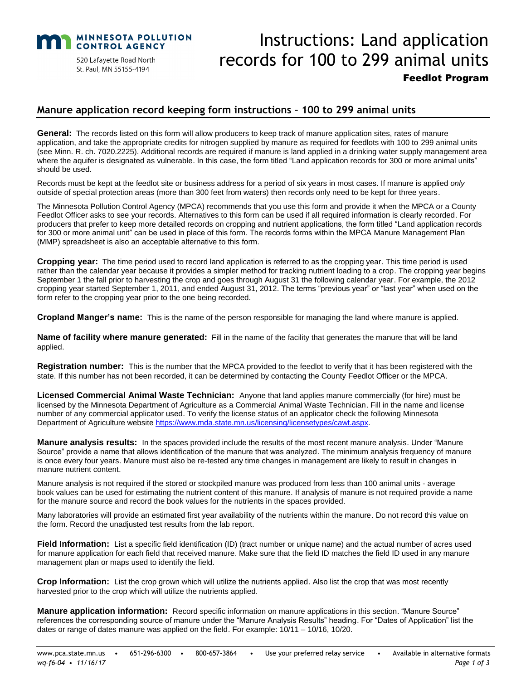

520 Lafayette Road North St. Paul, MN 55155-4194

# Instructions: Land application records for 100 to 299 animal units Feedlot Program

## **Manure application record keeping form instructions – 100 to 299 animal units**

General: The records listed on this form will allow producers to keep track of manure application sites, rates of manure application, and take the appropriate credits for nitrogen supplied by manure as required for feedlots with 100 to 299 animal units (see Minn. R. ch. 7020.2225). Additional records are required if manure is land applied in a drinking water supply management area where the aquifer is designated as vulnerable. In this case, the form titled "Land application records for 300 or more animal units" should be used.

Records must be kept at the feedlot site or business address for a period of six years in most cases. If manure is applied *only* outside of special protection areas (more than 300 feet from waters) then records only need to be kept for three years.

The Minnesota Pollution Control Agency (MPCA) recommends that you use this form and provide it when the MPCA or a County Feedlot Officer asks to see your records. Alternatives to this form can be used if all required information is clearly recorded. For producers that prefer to keep more detailed records on cropping and nutrient applications, the form titled "Land application records for 300 or more animal unit" can be used in place of this form. The records forms within the MPCA Manure Management Plan (MMP) spreadsheet is also an acceptable alternative to this form.

**Cropping year:** The time period used to record land application is referred to as the cropping year. This time period is used rather than the calendar year because it provides a simpler method for tracking nutrient loading to a crop. The cropping year begins September 1 the fall prior to harvesting the crop and goes through August 31 the following calendar year. For example, the 2012 cropping year started September 1, 2011, and ended August 31, 2012. The terms "previous year" or "last year" when used on the form refer to the cropping year prior to the one being recorded.

**Cropland Manger's name:** This is the name of the person responsible for managing the land where manure is applied.

**Name of facility where manure generated:** Fill in the name of the facility that generates the manure that will be land applied.

**Registration number:** This is the number that the MPCA provided to the feedlot to verify that it has been registered with the state. If this number has not been recorded, it can be determined by contacting the County Feedlot Officer or the MPCA.

**Licensed Commercial Animal Waste Technician:** Anyone that land applies manure commercially (for hire) must be licensed by the Minnesota Department of Agriculture as a Commercial Animal Waste Technician. Fill in the name and license number of any commercial applicator used. To verify the license status of an applicator check the following Minnesota Department of Agriculture website [https://www.mda.state.mn.us/licensing/licensetypes/cawt.aspx.](https://www.mda.state.mn.us/licensing/licensetypes/cawt.aspx)

**Manure analysis results:** In the spaces provided include the results of the most recent manure analysis. Under "Manure Source" provide a name that allows identification of the manure that was analyzed. The minimum analysis frequency of manure is once every four years. Manure must also be re-tested any time changes in management are likely to result in changes in manure nutrient content.

Manure analysis is not required if the stored or stockpiled manure was produced from less than 100 animal units - average book values can be used for estimating the nutrient content of this manure. If analysis of manure is not required provide a name for the manure source and record the book values for the nutrients in the spaces provided.

Many laboratories will provide an estimated first year availability of the nutrients within the manure. Do not record this value on the form. Record the unadjusted test results from the lab report.

**Field Information:** List a specific field identification (ID) (tract number or unique name) and the actual number of acres used for manure application for each field that received manure. Make sure that the field ID matches the field ID used in any manure management plan or maps used to identify the field.

**Crop Information:** List the crop grown which will utilize the nutrients applied. Also list the crop that was most recently harvested prior to the crop which will utilize the nutrients applied.

**Manure application information:** Record specific information on manure applications in this section. "Manure Source" references the corresponding source of manure under the "Manure Analysis Results" heading. For "Dates of Application" list the dates or range of dates manure was applied on the field. For example: 10/11 – 10/16, 10/20.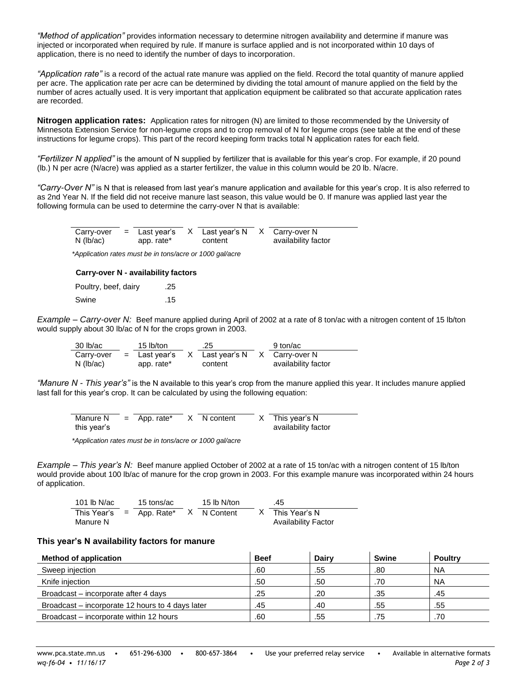*"Method of application"* provides information necessary to determine nitrogen availability and determine if manure was injected or incorporated when required by rule. If manure is surface applied and is not incorporated within 10 days of application, there is no need to identify the number of days to incorporation.

*"Application rate"* is a record of the actual rate manure was applied on the field. Record the total quantity of manure applied per acre. The application rate per acre can be determined by dividing the total amount of manure applied on the field by the number of acres actually used. It is very important that application equipment be calibrated so that accurate application rates are recorded.

**Nitrogen application rates:** Application rates for nitrogen (N) are limited to those recommended by the University of Minnesota Extension Service for non-legume crops and to crop removal of N for legume crops (see table at the end of these instructions for legume crops). This part of the record keeping form tracks total N application rates for each field.

*"Fertilizer N applied"* is the amount of N supplied by fertilizer that is available for this year's crop. For example, if 20 pound (lb.) N per acre (N/acre) was applied as a starter fertilizer, the value in this column would be 20 lb. N/acre.

*"Carry-Over N"* is N that is released from last year's manure application and available for this year's crop. It is also referred to as 2nd Year N. If the field did not receive manure last season, this value would be 0. If manure was applied last year the following formula can be used to determine the carry-over N that is available:

| Carry-over<br>$N$ (lb/ac) | $=$ Last year's<br>app. rate* | X Last vear's N<br>content | X Carry-over N<br>availability factor |  |
|---------------------------|-------------------------------|----------------------------|---------------------------------------|--|
| $\cdots$                  |                               | $\overline{\phantom{a}}$   |                                       |  |

*\*Application rates must be in tons/acre or 1000 gal/acre* 

#### **Carry-over N - availability factors**

Poultry, beef, dairy .25 Swine ... 15

*Example – Carry-over N:* Beef manure applied during April of 2002 at a rate of 8 ton/ac with a nitrogen content of 15 lb/ton would supply about 30 lb/ac of N for the crops grown in 2003.

| 30 lb/ac   | 15 lb/ton       | .25             | 9 ton/ac            |
|------------|-----------------|-----------------|---------------------|
| Carry-over | $=$ Last year's | X Last year's N | X Carry-over N      |
| N (lb/ac)  | app. rate*      | content         | availability factor |

*"Manure N - This year's"* is the N available to this year's crop from the manure applied this year. It includes manure applied last fall for this year's crop. It can be calculated by using the following equation:

| Manure N    | $=$ App. rate* | X N content | This year's N       |
|-------------|----------------|-------------|---------------------|
| this year's |                |             | availability factor |

*\*Application rates must be in tons/acre or 1000 gal/acre* 

*Example – This year's N:* Beef manure applied October of 2002 at a rate of 15 ton/ac with a nitrogen content of 15 lb/ton would provide about 100 lb/ac of manure for the crop grown in 2003. For this example manure was incorporated within 24 hours of application.

| 101 lb N/ac                | 15 tons/ac | 15 lb N/ton | .45                        |  |
|----------------------------|------------|-------------|----------------------------|--|
| This Year's $=$ App. Rate* |            | X N Content | This Year's N              |  |
| Manure N                   |            |             | <b>Availability Factor</b> |  |

#### **This year's N availability factors for manure**

| <b>Method of application</b>                     | <b>Beef</b> | Dairy | <b>Swine</b> | <b>Poultry</b> |
|--------------------------------------------------|-------------|-------|--------------|----------------|
| Sweep injection                                  | .60         | .55   | .80          | <b>NA</b>      |
| Knife injection                                  | .50         | .50   | .70          | <b>NA</b>      |
| Broadcast – incorporate after 4 days             | .25         | .20   | .35          | .45            |
| Broadcast – incorporate 12 hours to 4 days later | .45         | .40   | .55          | .55            |
| Broadcast – incorporate within 12 hours          | .60         | .55   | .75          | .70            |